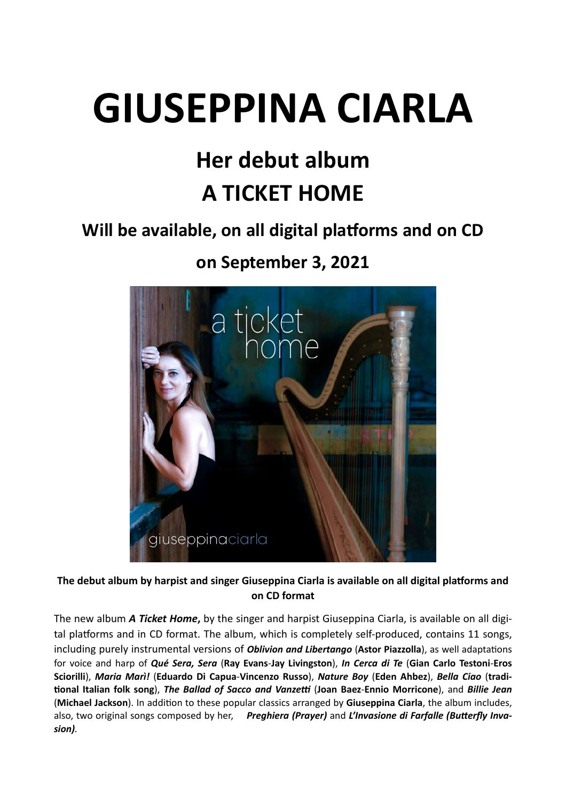## **GIUSEPPINA CIARLA**

## **Her debut album A TICKET HOME**

## Will be available, on all digital platforms and on CD

**on September 3, 2021** 



The debut album by harpist and singer Giuseppina Ciarla is available on all digital platforms and **on CD format** 

The new album *A Ticket Home***,** by the singer and harpist Giuseppina Ciarla, is available on all digital platforms and in CD format. The album, which is completely self-produced, contains 11 songs, including purely instrumental versions of *Oblivion and Libertango* (Astor Piazzolla), as well adaptations for voice and harp of *Qué Sera, Sera* (**Ray Evans**-**Jay Livingston**), *In Cerca di Te* (**Gian Carlo Testoni**-**Eros Sciorilli**), *Maria Marì!* (**Eduardo Di Capua**-**Vincenzo Russo**), *Nature Boy* (**Eden Ahbez**), *Bella Ciao* (**tradi-Ronal Italian folk song**), *The Ballad of Sacco and VanzeG* (**Joan Baez**-**Ennio Morricone**), and *Billie Jean* (Michael Jackson). In addition to these popular classics arranged by Giuseppina Ciarla, the album includes, also, two original songs composed by her, Preghiera (Prayer) and L'Invasione di Farfalle (Butterfly Inva*sion).*